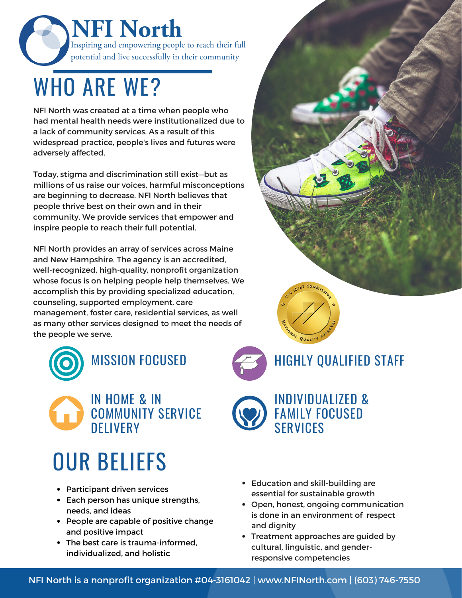**NFI North** Inspiring and empowering people to reach their full potential and live successfully in their community

### WHO ARE WE?

NFI North was created at a time when people who had mental health needs were institutionalized due to a lack of community services. As a result of this widespread practice, people's lives and futures were adversely affected.

Today, stigma and discrimination still exist—but as millions of us raise our voices, harmful misconceptions are beginning to decrease. NFI North believes that people thrive best on their own and in their community. We provide services that empower and inspire people to reach their full potential.

NFI North provides an array of services across Maine and New Hampshire. The agency is an accredited, well-recognized, high-quality, nonprofit organization whose focus is on helping people help themselves. We accomplish this by providing specialized education, counseling, supported employment, care management, foster care, residential services, as well as many other services designed to meet the needs of the people we serve.





# OUR BELIEFS

- Participant driven services
- Each person has unique strengths, needs, and ideas
- People are capable of positive change and positive impact
- The best care is trauma-informed, individualized, and holistic
- Education and skill-building are essential for sustainable growth

**SFRVICES** 

ONAL QUALITY

Open, honest, ongoing communication is done in an environment of respect and dignity

INDIVIDUALIZED & FAMILY FOCUSED

HIGHLY QUALIFIED STAFF

Treatment approaches are guided by cultural, linguistic, and genderresponsive competencies